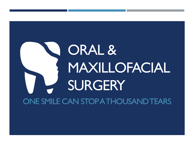# ORAL & MAXILLOFACIAL **SURGERY** ONE SMILE CAN STOP A THOUSAND TEARS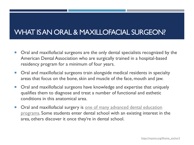### WHAT IS AN ORAL & MAXILLOFACIAL SURGEON?

- **Dral and maxillofacial surgeons are the only dental specialists recognized by the** American Dental Association who are surgically trained in a hospital-based residency program for a minimum of four years.
- **Drai and maxillofacial surgeons train alongside medical residents in specialty** areas that focus on the bone, skin and muscle of the face, mouth and jaw.
- Oral and maxillofacial surgeons have knowledge and expertise that uniquely qualifies them to diagnose and treat a number of functional and esthetic conditions in this anatomical area.
- **Oral and maxillofacial surgery is one of many advanced dental education** [programs. Some students enter dental school with an existing interest in](https://www.adea.org/GoDental/Career_Options/Advanced_Dental_Education_Programs.aspx) the area, others discover it once they're in dental school.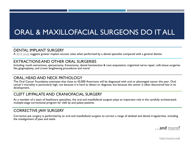# ORAL & MAXILLOFACIAL SURGEONS DO IT ALL

#### DENTAL IMPLANT SURGERY

A [2014 study](https://myoms.org/assets/uploads/documents/jada_072014_implant_article.pdf) suggests greater implant success rates when performed by a dental specialist compared with a general dentist.

#### EXTRACTIONS AND OTHER ORAL SURGERIES

Including: tooth extractions, apicoectomy, frenectomy, dental hemisection & root amputation, trigeminal nerve repair, soft-tissue surgeries like gingivoplasty, and crown lengthening procedures and more!

#### ORAL, HEAD AND NECK PATHOLOGY

The Oral Cancer Foundation estimates that close to 42,000 Americans will be diagnosed with oral or pharyngeal cancer this year. Oral cancer's mortality is particularly high, not because it is hard to detect or diagnose, but because the cancer is often discovered late in its development.

#### CLEFT LIP/PALATE AND CRANIOFACIAL SURGERY

As a member of a team of healthcare specialists, the oral and maxillofacial surgeon plays an important role in the carefully orchestrated, multiple-stage correctional program for cleft lip and palate patients.

#### CORRECTIVE JAW SURGERY

Corrective jaw surgery is performed by an oral and maxillofacial surgeon to correct a range of skeletal and dental irregularities, including the misalignment of jaws and teeth.

…and [more!](https://myoms.org/)

<https://myoms.org/>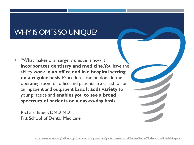### WHY IS OMFS SO UNIQUE?

 "What makes oral surgery unique is how it **incorporates dentistry and medicine**. You have the ability **work in an office and in a hospital setting on a regular basis**. Procedures can be done in the operating room or office and patients are cared for on an inpatient and outpatient basis. It **adds variety** to your practice and **enables you to see a broad spectrum of patients on a day-to-day basis**."

Richard Bauer, DMD, MD Pitt School of Dental Medicine

<https://www.asdanet.org/utility-navigation/career-compass-home/grad-career-options/Life-of-a-Dentist/Oral-and-Maxillofacial-Surgery>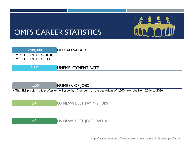

### OMFS CAREER STATISTICS

#### \$208,000 MEDIAN SALARY • 75TH PERCENTILE: \$208,000 • 25<sup>TH</sup> PERCENTILE: \$163,110

#### 0.5% UNEMPLOYMENT RATE

1,200 NUMBER OF JOBS

• The BLS predicts this profession will grow by 17 percent, or the equivalent of 1,200 new jobs from 2016 to 2026

#4 [US NEWS BEST PAYING JOBS](https://money.usnews.com/careers/best-jobs/rankings/best-paying-jobs)

#### #8 [US NEWS BEST JOBS OVERALL](https://money.usnews.com/careers/best-jobs/rankings/the-100-best-jobs)

<https://money.usnews.com/careers/best-jobs/oral-and-maxillofacial-surgeon/salary>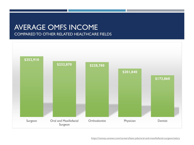### AVERAGE OMFS INCOME COMPARED TO OTHER RELATED HEALTHCARE FIELDS

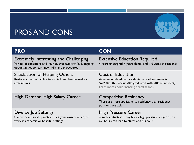### PROS AND CONS

| <b>PRO</b>                                                                                                                                                           | <b>CON</b>                                                                                                                                                                                  |
|----------------------------------------------------------------------------------------------------------------------------------------------------------------------|---------------------------------------------------------------------------------------------------------------------------------------------------------------------------------------------|
| <b>Extremely Interesting and Challenging</b><br>Variety of conditions and injuries, ever evolving field, ongoing<br>opportunities to learn new skills and procedures | <b>Extensive Education Required</b><br>4 years undergrad, 4 years dental and 4-6 years of residency                                                                                         |
| Satisfaction of Helping Others<br>Restore a person's ability to eat, talk and live normally -<br>restore lives                                                       | <b>Cost of Education</b><br>Average indebtedness for dental school graduates is<br>\$285,000 (but about 20% graduated with little to no debt).<br>Learn more about financing dental school. |
| High Demand, High Salary Career                                                                                                                                      | <b>Competitive Residency</b><br>There are more applicants to residency than residency<br>positions available                                                                                |
| Diverse Job Settings<br>Can work in private practice, start your own practice, or<br>work in academic or hospital settings                                           | <b>High Pressure Career</b><br>complex situations, long hours, high pressure surgeries, on<br>call hours can lead to stress and burnout                                                     |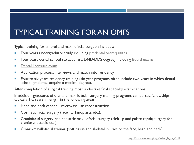## TYPICAL TRAINING FOR AN OMFS

Typical training for an oral and maxillofacial surgeon includes:

- Four years undergraduate study including predental [prerequisites](https://hpa.princeton.edu/explore-careers/dental-medicine)
- **Figure 1** Four years dental school (to acquire a DMD/DDS degree) including **Board exams**
- **[Dental licensure exam](https://www.asdanet.org/utility-navigation/career-compass-home/grad-career-options/obtaining-licensure)ple**
- **Application process, interviews, and match into residency**
- **Fig. 2** Four to six years residency training (six year programs often include two years in which dental school graduates acquire a medical degree).

After completion of surgical training most undertake final specialty examinations.

In addition, graduates of oral and maxillofacial surgery training programs can pursue fellowships, typically 1-2 years in length, in the following areas:

- $\blacksquare$  Head and neck cancer microvascular reconstruction.
- Cosmetic facial surgery (facelift, rhinoplasty, etc.).
- **EXP** Craniofacial surgery and pediatric maxillofacial surgery (cleft lip and palate repair, surgery for craniosynostosis, etc.).
- Cranio-maxillofacial trauma (soft tissue and skeletal injuries to the face, head and neck).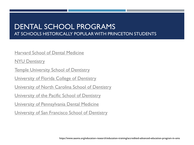### DENTAL SCHOOL PROGRAMS AT SCHOOLS HISTORICALLY POPULAR WITH PRINCETON STUDENTS

#### [Harvard School of Dental Medicine](hdsm.harvard.edu)

**[NYU Dentistry](dental.nyu.edu)** 

**[Temple University School of Dentistry](dentistry.temple.edu)** 

[University of Florida College of Dentistry](dental.ufl.edu)

[University of North Carolina School of Dentistry](dentistry.unc.edu)

[University of the Pacific School of Dentistry](dental.pacific.edu)

[University of Pennsylvania Dental Medicine](dental.upenn.edu)

[University of San Francisco School of Dentistry](dentistry.ucsf.edu)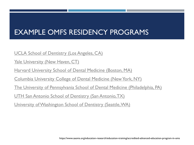# EXAMPLE OMFS RESIDENCY PROGRAMS

[UCLA School of Dentistry \(Los Angeles, CA\)](https://www.dentistry.ucla.edu/learning/oral-maxillofacial-surgery)

[Yale University \(New Haven, CT\)](https://www.ynhh.org/medical-professionals/gme/our-programs/oral-maxillofacial-surgery.aspx)

[Harvard University School of Dental Medicine \(Boston, MA\)](https://hsdm.harvard.edu/oral-and-maxillofacial-surgery-program)

[Columbia University College of Dental Medicine \(New York, NY\)](https://www.dental.columbia.edu/education/postdoctoral-and-residency-programs/oral-and-maxillofacial-surgerymd-residency)

[The University of Pennsylvania School of Dental Medicine \(Philadelphia, PA\)](https://www.dental.upenn.edu/academic_programs_admissions/graduate_dental_education_programs/oral_and_maxillofacial_surgery_residencymd_program)

<u>[UTH San Antonio School of Dentistry \(San Antonio, TX\)](https://www.uthscsa.edu/academics/dental/departments/oral-maxillofacial-surgery)</u>

[University of Washington School of Dentistry \(Seattle, WA\)](https://dental.washington.edu/dept-oms/residency/)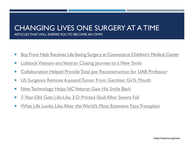### CHANGING LIVES ONE SURGERY AT A TIME ARTICLES THAT WILL INSPIRE YOU TO BECOME AN OMFS

- **Boy From Haiti Receives Life-[Saving Surgery at Connecticut Children's Medical Center](https://www.nbcconnecticut.com/news/local/Boy-From-Haiti-Receives-Life-Saving-Surgery-at-Connecticut-Childrens-Medical-Center-501077062.html)**
- **[Lubbock Vietnam-era Veteran Closing Journey to a New Smile](https://www.lubbockonline.com/news/20180525/lubbock-vietnam-era-veteran-closing-journey-to-new-smile)**
- **EXPEDENT [Collaboration Helped Provide Total Jaw Reconstruction for UAB Professor](http://www.uab.edu/news/health/item/9217-collaboration-helped-provide-total-jaw-reconstruction-for-uab-professor)**
- US Surgeons Remove 6-[pound Tumor From Gambian Girl's Mouth](https://www.apnews.com/0a4555177ffe4049bb9fe3948b46809a)
- **[New Technology Helps NC Veteran Gain His Smile Back](https://www.cbs17.com/news/new-technology-helps-nc-veteran-gain-his-smile-back/1016914819)**
- [7-Year-Old Gets Life-Like 3-D Printed Skull After Severe Fall](https://med.news.am/eng/news/12460/7-year-old-gets-life-like-3-d-printed-skull-after-severe-fall.html)
- **Number 1 No. 2018 Wealth Cooks Like After the World's Most Extensive Face Transplant**